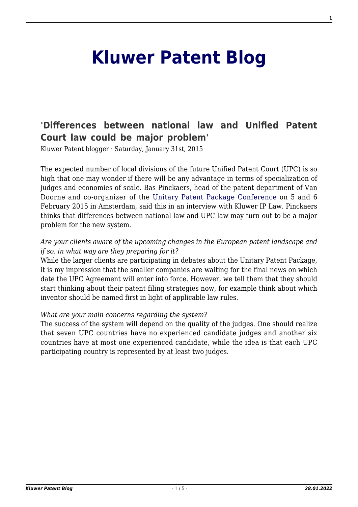# **[Kluwer Patent Blog](http://patentblog.kluweriplaw.com/)**

# **['Differences between national law and Unified Patent](http://patentblog.kluweriplaw.com/2015/01/31/differences-between-national-law-and-unified-patent-court-law-could-be-major-problem/) [Court law could be major problem'](http://patentblog.kluweriplaw.com/2015/01/31/differences-between-national-law-and-unified-patent-court-law-could-be-major-problem/)**

Kluwer Patent blogger · Saturday, January 31st, 2015

The expected number of local divisions of the future Unified Patent Court (UPC) is so high that one may wonder if there will be any advantage in terms of specialization of judges and economies of scale. Bas Pinckaers, head of the patent department of Van Doorne and co-organizer of the [Unitary Patent Package Conference](http://www.unitarypatentpackage.com/) on 5 and 6 February 2015 in Amsterdam, said this in an interview with Kluwer IP Law. Pinckaers thinks that differences between national law and UPC law may turn out to be a major problem for the new system.

### *Are your clients aware of the upcoming changes in the European patent landscape and if so, in what way are they preparing for it?*

While the larger clients are participating in debates about the Unitary Patent Package, it is my impression that the smaller companies are waiting for the final news on which date the UPC Agreement will enter into force. However, we tell them that they should start thinking about their patent filing strategies now, for example think about which inventor should be named first in light of applicable law rules.

#### *What are your main concerns regarding the system?*

The success of the system will depend on the quality of the judges. One should realize that seven UPC countries have no experienced candidate judges and another six countries have at most one experienced candidate, while the idea is that each UPC participating country is represented by at least two judges.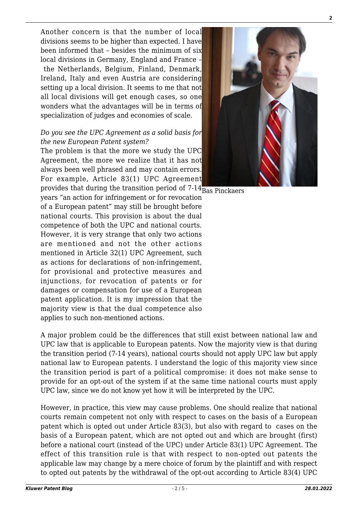Another concern is that the number of local divisions seems to be higher than expected. I have been informed that – besides the minimum of six local divisions in Germany, England and France – the Netherlands, Belgium, Finland, Denmark, Ireland, Italy and even Austria are considering setting up a local division. It seems to me that not all local divisions will get enough cases, so one wonders what the advantages will be in terms of specialization of judges and economies of scale.

#### *Do you see the UPC Agreement as a solid basis for the new European Patent system?*

provides that during the transition period of 7-14 $_{\rm Bas}$  Pinckaers The problem is that the more we study the UPC Agreement, the more we realize that it has not always been well phrased and may contain errors. For example, Article 83(1) UPC Agreement

years "an action for infringement or for revocation of a European patent" may still be brought before national courts. This provision is about the dual competence of both the UPC and national courts. However, it is very strange that only two actions are mentioned and not the other actions mentioned in Article 32(1) UPC Agreement, such as actions for declarations of non-infringement, for provisional and protective measures and injunctions, for revocation of patents or for damages or compensation for use of a European patent application. It is my impression that the majority view is that the dual competence also applies to such non-mentioned actions.

A major problem could be the differences that still exist between national law and UPC law that is applicable to European patents. Now the majority view is that during the transition period (7-14 years), national courts should not apply UPC law but apply national law to European patents. I understand the logic of this majority view since the transition period is part of a political compromise: it does not make sense to provide for an opt-out of the system if at the same time national courts must apply UPC law, since we do not know yet how it will be interpreted by the UPC.

However, in practice, this view may cause problems. One should realize that national courts remain competent not only with respect to cases on the basis of a European patent which is opted out under Article 83(3), but also with regard to cases on the basis of a European patent, which are not opted out and which are brought (first) before a national court (instead of the UPC) under Article 83(1) UPC Agreement. The effect of this transition rule is that with respect to non-opted out patents the applicable law may change by a mere choice of forum by the plaintiff and with respect to opted out patents by the withdrawal of the opt-out according to Article 83(4) UPC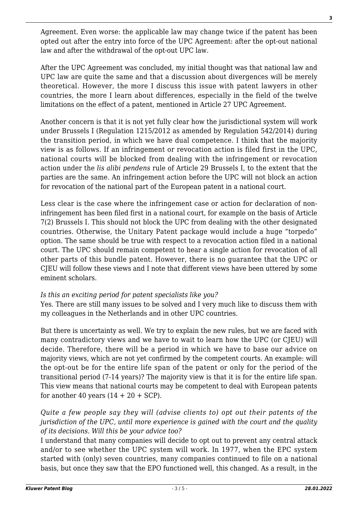Agreement. Even worse: the applicable law may change twice if the patent has been opted out after the entry into force of the UPC Agreement: after the opt-out national law and after the withdrawal of the opt-out UPC law.

After the UPC Agreement was concluded, my initial thought was that national law and UPC law are quite the same and that a discussion about divergences will be merely theoretical. However, the more I discuss this issue with patent lawyers in other countries, the more I learn about differences, especially in the field of the twelve limitations on the effect of a patent, mentioned in Article 27 UPC Agreement.

Another concern is that it is not yet fully clear how the jurisdictional system will work under Brussels I (Regulation 1215/2012 as amended by Regulation 542/2014) during the transition period, in which we have dual competence. I think that the majority view is as follows. If an infringement or revocation action is filed first in the UPC, national courts will be blocked from dealing with the infringement or revocation action under the *lis alibi pendens* rule of Article 29 Brussels I, to the extent that the parties are the same. An infringement action before the UPC will not block an action for revocation of the national part of the European patent in a national court.

Less clear is the case where the infringement case or action for declaration of noninfringement has been filed first in a national court, for example on the basis of Article 7(2) Brussels I. This should not block the UPC from dealing with the other designated countries. Otherwise, the Unitary Patent package would include a huge "torpedo" option. The same should be true with respect to a revocation action filed in a national court. The UPC should remain competent to hear a single action for revocation of all other parts of this bundle patent. However, there is no guarantee that the UPC or CJEU will follow these views and I note that different views have been uttered by some eminent scholars.

## *Is this an exciting period for patent specialists like you?*

Yes. There are still many issues to be solved and I very much like to discuss them with my colleagues in the Netherlands and in other UPC countries.

But there is uncertainty as well. We try to explain the new rules, but we are faced with many contradictory views and we have to wait to learn how the UPC (or CJEU) will decide. Therefore, there will be a period in which we have to base our advice on majority views, which are not yet confirmed by the competent courts. An example: will the opt-out be for the entire life span of the patent or only for the period of the transitional period (7-14 years)? The majority view is that it is for the entire life span. This view means that national courts may be competent to deal with European patents for another 40 years  $(14 + 20 + \text{SCP})$ .

*Quite a few people say they will (advise clients to) opt out their patents of the jurisdiction of the UPC, until more experience is gained with the court and the quality of its decisions. Will this be your advice too?*

I understand that many companies will decide to opt out to prevent any central attack and/or to see whether the UPC system will work. In 1977, when the EPC system started with (only) seven countries, many companies continued to file on a national basis, but once they saw that the EPO functioned well, this changed. As a result, in the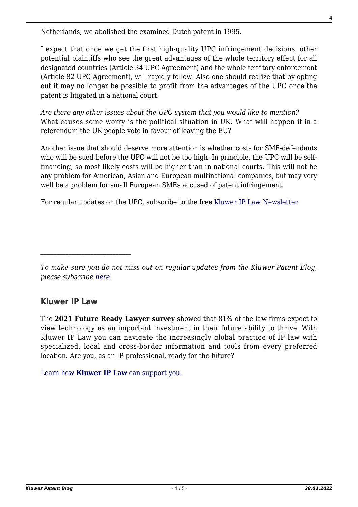Netherlands, we abolished the examined Dutch patent in 1995.

I expect that once we get the first high-quality UPC infringement decisions, other potential plaintiffs who see the great advantages of the whole territory effect for all designated countries (Article 34 UPC Agreement) and the whole territory enforcement (Article 82 UPC Agreement), will rapidly follow. Also one should realize that by opting out it may no longer be possible to profit from the advantages of the UPC once the patent is litigated in a national court.

*Are there any other issues about the UPC system that you would like to mention?* What causes some worry is the political situation in UK. What will happen if in a referendum the UK people vote in favour of leaving the EU?

Another issue that should deserve more attention is whether costs for SME-defendants who will be sued before the UPC will not be too high. In principle, the UPC will be selffinancing, so most likely costs will be higher than in national courts. This will not be any problem for American, Asian and European multinational companies, but may very well be a problem for small European SMEs accused of patent infringement.

For regular updates on the UPC, subscribe to the free [Kluwer IP Law Newsletter](http://webforms.kluwerlawonline.com/genons/toepassingen/kli/arbitration_website/subscribe.asp?prodcode=KIPL).

# **Kluwer IP Law**

The **2021 Future Ready Lawyer survey** showed that 81% of the law firms expect to view technology as an important investment in their future ability to thrive. With Kluwer IP Law you can navigate the increasingly global practice of IP law with specialized, local and cross-border information and tools from every preferred location. Are you, as an IP professional, ready for the future?

[Learn how](https://www.wolterskluwer.com/en/solutions/kluweriplaw?utm_source=patentblog&utm_medium=articleCTA&utm_campaign=article-banner) **[Kluwer IP Law](https://www.wolterskluwer.com/en/solutions/kluweriplaw?utm_source=patentblog&utm_medium=articleCTA&utm_campaign=article-banner)** [can support you.](https://www.wolterskluwer.com/en/solutions/kluweriplaw?utm_source=patentblog&utm_medium=articleCTA&utm_campaign=article-banner)

*To make sure you do not miss out on regular updates from the Kluwer Patent Blog, please subscribe [here.](http://patentblog.kluweriplaw.com/newsletter)*